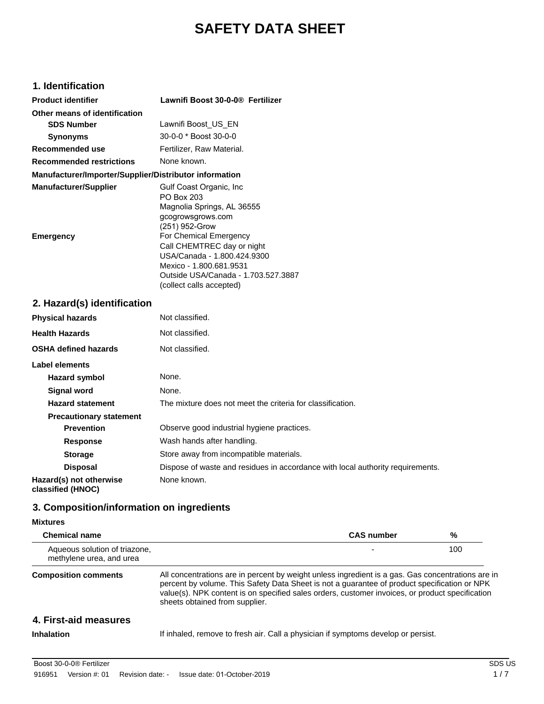# **SAFETY DATA SHEET**

# **1. Identification**

| <b>Product identifier</b>                              | Lawnifi Boost 30-0-0® Fertilizer    |
|--------------------------------------------------------|-------------------------------------|
| Other means of identification                          |                                     |
| <b>SDS Number</b>                                      | Lawnifi Boost US EN                 |
| <b>Synonyms</b>                                        | 30-0-0 * Boost 30-0-0               |
| Recommended use                                        | Fertilizer. Raw Material.           |
| <b>Recommended restrictions</b>                        | None known.                         |
| Manufacturer/Importer/Supplier/Distributor information |                                     |
| <b>Manufacturer/Supplier</b>                           | Gulf Coast Organic, Inc             |
|                                                        | PO Box 203                          |
|                                                        | Magnolia Springs, AL 36555          |
|                                                        | gcogrowsgrows.com                   |
|                                                        | (251) 952-Grow                      |
| Emergency                                              | For Chemical Emergency              |
|                                                        | Call CHEMTREC day or night          |
|                                                        | USA/Canada - 1.800.424.9300         |
|                                                        | Mexico - 1.800.681.9531             |
|                                                        | Outside USA/Canada - 1.703.527.3887 |
|                                                        | (collect calls accepted)            |

## **2. Hazard(s) identification**

| <b>Physical hazards</b>                      | Not classified.                                                                |
|----------------------------------------------|--------------------------------------------------------------------------------|
| <b>Health Hazards</b>                        | Not classified.                                                                |
| <b>OSHA defined hazards</b>                  | Not classified.                                                                |
| Label elements                               |                                                                                |
| <b>Hazard symbol</b>                         | None.                                                                          |
| <b>Signal word</b>                           | None.                                                                          |
| <b>Hazard statement</b>                      | The mixture does not meet the criteria for classification.                     |
| <b>Precautionary statement</b>               |                                                                                |
| <b>Prevention</b>                            | Observe good industrial hygiene practices.                                     |
| <b>Response</b>                              | Wash hands after handling.                                                     |
| <b>Storage</b>                               | Store away from incompatible materials.                                        |
| <b>Disposal</b>                              | Dispose of waste and residues in accordance with local authority requirements. |
| Hazard(s) not otherwise<br>classified (HNOC) | None known.                                                                    |

# **3. Composition/information on ingredients**

### **Mixtures**

| <b>Chemical name</b>                                      |                                                                                                                                                                                                                                                                                                                                        | <b>CAS number</b> | %   |
|-----------------------------------------------------------|----------------------------------------------------------------------------------------------------------------------------------------------------------------------------------------------------------------------------------------------------------------------------------------------------------------------------------------|-------------------|-----|
| Aqueous solution of triazone,<br>methylene urea, and urea |                                                                                                                                                                                                                                                                                                                                        |                   | 100 |
| <b>Composition comments</b>                               | All concentrations are in percent by weight unless ingredient is a gas. Gas concentrations are in<br>percent by volume. This Safety Data Sheet is not a guarantee of product specification or NPK<br>value(s). NPK content is on specified sales orders, customer invoices, or product specification<br>sheets obtained from supplier. |                   |     |
| 4. First-aid measures                                     |                                                                                                                                                                                                                                                                                                                                        |                   |     |
| Inhalation                                                | If inhaled, remove to fresh air. Call a physician if symptoms develop or persist.                                                                                                                                                                                                                                                      |                   |     |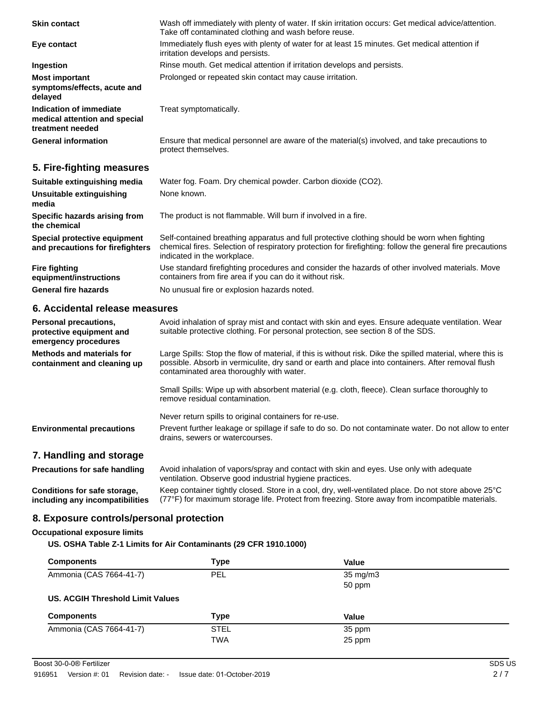| <b>Skin contact</b>                                                              | Wash off immediately with plenty of water. If skin irritation occurs: Get medical advice/attention.<br>Take off contaminated clothing and wash before reuse.                                                                                                |
|----------------------------------------------------------------------------------|-------------------------------------------------------------------------------------------------------------------------------------------------------------------------------------------------------------------------------------------------------------|
| Eye contact                                                                      | Immediately flush eyes with plenty of water for at least 15 minutes. Get medical attention if<br>irritation develops and persists.                                                                                                                          |
| Ingestion                                                                        | Rinse mouth. Get medical attention if irritation develops and persists.                                                                                                                                                                                     |
| <b>Most important</b><br>symptoms/effects, acute and<br>delayed                  | Prolonged or repeated skin contact may cause irritation.                                                                                                                                                                                                    |
| Indication of immediate<br>medical attention and special<br>treatment needed     | Treat symptomatically.                                                                                                                                                                                                                                      |
| <b>General information</b>                                                       | Ensure that medical personnel are aware of the material(s) involved, and take precautions to<br>protect themselves.                                                                                                                                         |
| 5. Fire-fighting measures                                                        |                                                                                                                                                                                                                                                             |
| Suitable extinguishing media                                                     | Water fog. Foam. Dry chemical powder. Carbon dioxide (CO2).                                                                                                                                                                                                 |
| <b>Unsuitable extinguishing</b><br>media                                         | None known.                                                                                                                                                                                                                                                 |
| Specific hazards arising from<br>the chemical                                    | The product is not flammable. Will burn if involved in a fire.                                                                                                                                                                                              |
| Special protective equipment<br>and precautions for firefighters                 | Self-contained breathing apparatus and full protective clothing should be worn when fighting<br>chemical fires. Selection of respiratory protection for firefighting: follow the general fire precautions<br>indicated in the workplace.                    |
| <b>Fire fighting</b><br>equipment/instructions                                   | Use standard firefighting procedures and consider the hazards of other involved materials. Move<br>containers from fire area if you can do it without risk.                                                                                                 |
| <b>General fire hazards</b>                                                      | No unusual fire or explosion hazards noted.                                                                                                                                                                                                                 |
| 6. Accidental release measures                                                   |                                                                                                                                                                                                                                                             |
| <b>Personal precautions,</b><br>protective equipment and<br>emergency procedures | Avoid inhalation of spray mist and contact with skin and eyes. Ensure adequate ventilation. Wear<br>suitable protective clothing. For personal protection, see section 8 of the SDS.                                                                        |
| <b>Methods and materials for</b><br>containment and cleaning up                  | Large Spills: Stop the flow of material, if this is without risk. Dike the spilled material, where this is<br>possible. Absorb in vermiculite, dry sand or earth and place into containers. After removal flush<br>contaminated area thoroughly with water. |
|                                                                                  | Small Spills: Wipe up with absorbent material (e.g. cloth, fleece). Clean surface thoroughly to<br>remove residual contamination.                                                                                                                           |
|                                                                                  | Never return spills to original containers for re-use.                                                                                                                                                                                                      |

### **7. Handling and storage**

**Precautions for safe handling** Avoid inhalation of vapors/spray and contact with skin and eyes. Use only with adequate ventilation. Observe good industrial hygiene practices. **Conditions for safe storage, including any incompatibilities** Keep container tightly closed. Store in a cool, dry, well-ventilated place. Do not store above 25°C (77°F) for maximum storage life. Protect from freezing. Store away from incompatible materials.

drains, sewers or watercourses.

**Environmental precautions** Prevent further leakage or spillage if safe to do so. Do not contaminate water. Do not allow to enter

### **8. Exposure controls/personal protection**

#### **Occupational exposure limits**

#### **US. OSHA Table Z-1 Limits for Air Contaminants (29 CFR 1910.1000)**

| <b>Components</b>                | Type        | Value             |  |
|----------------------------------|-------------|-------------------|--|
| Ammonia (CAS 7664-41-7)          | <b>PEL</b>  | $35 \text{ mg/m}$ |  |
|                                  |             | 50 ppm            |  |
| US. ACGIH Threshold Limit Values |             |                   |  |
| <b>Components</b>                | <b>Type</b> | Value             |  |
| Ammonia (CAS 7664-41-7)          | <b>STEL</b> | 35 ppm            |  |
|                                  | <b>TWA</b>  | 25 ppm            |  |
|                                  |             |                   |  |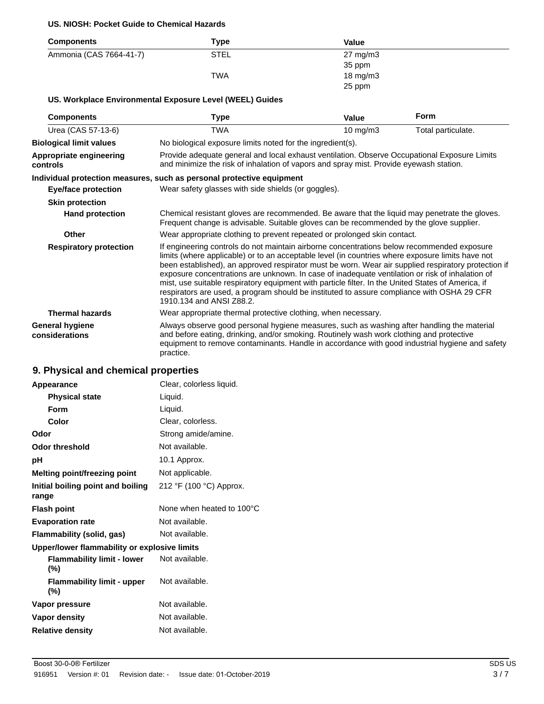#### **US. NIOSH: Pocket Guide to Chemical Hazards**

| <b>Components</b>       | Type        | Value               |
|-------------------------|-------------|---------------------|
| Ammonia (CAS 7664-41-7) | <b>STEL</b> | $27 \text{ mg/m}$ 3 |
|                         |             | 35 ppm              |
|                         | <b>TWA</b>  | $18 \text{ mg/m}$   |
|                         |             | 25 ppm              |

### **US. Workplace Environmental Exposure Level (WEEL) Guides**

| <b>Components</b>                        | Type                                                                                                                                                                                                                                                                                                                                                                                                                                                                                                                                                                                                                                     | Value                                                                                                                                                                                  | <b>Form</b>        |  |
|------------------------------------------|------------------------------------------------------------------------------------------------------------------------------------------------------------------------------------------------------------------------------------------------------------------------------------------------------------------------------------------------------------------------------------------------------------------------------------------------------------------------------------------------------------------------------------------------------------------------------------------------------------------------------------------|----------------------------------------------------------------------------------------------------------------------------------------------------------------------------------------|--------------------|--|
| Urea (CAS 57-13-6)                       | <b>TWA</b>                                                                                                                                                                                                                                                                                                                                                                                                                                                                                                                                                                                                                               | 10 mg/m $3$                                                                                                                                                                            | Total particulate. |  |
| <b>Biological limit values</b>           | No biological exposure limits noted for the ingredient(s).                                                                                                                                                                                                                                                                                                                                                                                                                                                                                                                                                                               |                                                                                                                                                                                        |                    |  |
| Appropriate engineering<br>controls      |                                                                                                                                                                                                                                                                                                                                                                                                                                                                                                                                                                                                                                          | Provide adequate general and local exhaust ventilation. Observe Occupational Exposure Limits<br>and minimize the risk of inhalation of vapors and spray mist. Provide eyewash station. |                    |  |
|                                          | Individual protection measures, such as personal protective equipment                                                                                                                                                                                                                                                                                                                                                                                                                                                                                                                                                                    |                                                                                                                                                                                        |                    |  |
| <b>Eye/face protection</b>               | Wear safety glasses with side shields (or goggles).                                                                                                                                                                                                                                                                                                                                                                                                                                                                                                                                                                                      |                                                                                                                                                                                        |                    |  |
| <b>Skin protection</b>                   |                                                                                                                                                                                                                                                                                                                                                                                                                                                                                                                                                                                                                                          |                                                                                                                                                                                        |                    |  |
| <b>Hand protection</b>                   | Chemical resistant gloves are recommended. Be aware that the liquid may penetrate the gloves.<br>Frequent change is advisable. Suitable gloves can be recommended by the glove supplier.                                                                                                                                                                                                                                                                                                                                                                                                                                                 |                                                                                                                                                                                        |                    |  |
| Other                                    | Wear appropriate clothing to prevent repeated or prolonged skin contact.                                                                                                                                                                                                                                                                                                                                                                                                                                                                                                                                                                 |                                                                                                                                                                                        |                    |  |
| <b>Respiratory protection</b>            | If engineering controls do not maintain airborne concentrations below recommended exposure<br>limits (where applicable) or to an acceptable level (in countries where exposure limits have not<br>been established), an approved respirator must be worn. Wear air supplied respiratory protection if<br>exposure concentrations are unknown. In case of inadequate ventilation or risk of inhalation of<br>mist, use suitable respiratory equipment with particle filter. In the United States of America, if<br>respirators are used, a program should be instituted to assure compliance with OSHA 29 CFR<br>1910.134 and ANSI Z88.2. |                                                                                                                                                                                        |                    |  |
| <b>Thermal hazards</b>                   | Wear appropriate thermal protective clothing, when necessary.                                                                                                                                                                                                                                                                                                                                                                                                                                                                                                                                                                            |                                                                                                                                                                                        |                    |  |
| <b>General hygiene</b><br>considerations | Always observe good personal hygiene measures, such as washing after handling the material<br>and before eating, drinking, and/or smoking. Routinely wash work clothing and protective<br>equipment to remove contaminants. Handle in accordance with good industrial hygiene and safety<br>practice.                                                                                                                                                                                                                                                                                                                                    |                                                                                                                                                                                        |                    |  |

# **9. Physical and chemical properties**

| Appearance                                   | Clear, colorless liquid.  |
|----------------------------------------------|---------------------------|
| <b>Physical state</b>                        | Liquid.                   |
| Form                                         | Liquid.                   |
| Color                                        | Clear, colorless.         |
| Odor                                         | Strong amide/amine.       |
| Odor threshold                               | Not available.            |
| рH                                           | 10.1 Approx.              |
| Melting point/freezing point                 | Not applicable.           |
| Initial boiling point and boiling<br>range   | 212 °F (100 °C) Approx.   |
| <b>Flash point</b>                           | None when heated to 100°C |
| <b>Evaporation rate</b>                      | Not available.            |
| Flammability (solid, gas)                    | Not available.            |
| Upper/lower flammability or explosive limits |                           |
| <b>Flammability limit - lower</b><br>(%)     | Not available.            |
| <b>Flammability limit - upper</b><br>(%)     | Not available.            |
| Vapor pressure                               | Not available.            |
| Vapor density                                | Not available.            |
| <b>Relative density</b>                      | Not available.            |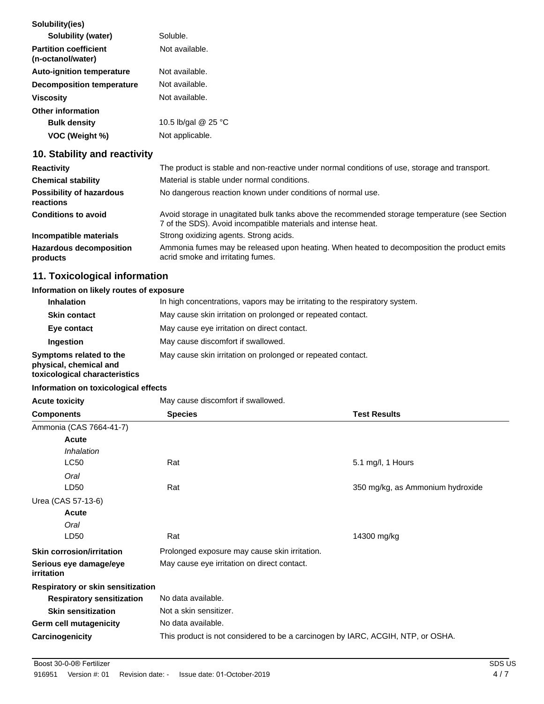| Solubility(ies)                                   |                     |
|---------------------------------------------------|---------------------|
| Solubility (water)                                | Soluble.            |
| <b>Partition coefficient</b><br>(n-octanol/water) | Not available.      |
| <b>Auto-ignition temperature</b>                  | Not available.      |
| Decomposition temperature                         | Not available.      |
| <b>Viscosity</b>                                  | Not available.      |
| Other information                                 |                     |
| <b>Bulk density</b>                               | 10.5 lb/gal @ 25 °C |
| VOC (Weight %)                                    | Not applicable.     |

# **10. Stability and reactivity**

| <b>Reactivity</b>                            | The product is stable and non-reactive under normal conditions of use, storage and transport.                                                                  |
|----------------------------------------------|----------------------------------------------------------------------------------------------------------------------------------------------------------------|
| <b>Chemical stability</b>                    | Material is stable under normal conditions.                                                                                                                    |
| <b>Possibility of hazardous</b><br>reactions | No dangerous reaction known under conditions of normal use.                                                                                                    |
| <b>Conditions to avoid</b>                   | Avoid storage in unagitated bulk tanks above the recommended storage temperature (see Section<br>7 of the SDS). Avoid incompatible materials and intense heat. |
| Incompatible materials                       | Strong oxidizing agents. Strong acids.                                                                                                                         |
| <b>Hazardous decomposition</b><br>products   | Ammonia fumes may be released upon heating. When heated to decomposition the product emits<br>acrid smoke and irritating fumes.                                |

# **11. Toxicological information**

### **Information on likely routes of exposure**

| <b>Inhalation</b>                                                                  | In high concentrations, vapors may be irritating to the respiratory system. |
|------------------------------------------------------------------------------------|-----------------------------------------------------------------------------|
| <b>Skin contact</b>                                                                | May cause skin irritation on prolonged or repeated contact.                 |
| Eye contact                                                                        | May cause eye irritation on direct contact.                                 |
| Ingestion                                                                          | May cause discomfort if swallowed.                                          |
| Symptoms related to the<br>physical, chemical and<br>toxicological characteristics | May cause skin irritation on prolonged or repeated contact.                 |

### **Information on toxicological effects**

| <b>Acute toxicity</b>                | May cause discomfort if swallowed.                                              |                                  |
|--------------------------------------|---------------------------------------------------------------------------------|----------------------------------|
| <b>Components</b>                    | <b>Species</b>                                                                  | <b>Test Results</b>              |
| Ammonia (CAS 7664-41-7)              |                                                                                 |                                  |
| Acute                                |                                                                                 |                                  |
| Inhalation                           |                                                                                 |                                  |
| <b>LC50</b>                          | Rat                                                                             | 5.1 mg/l, 1 Hours                |
| Oral                                 |                                                                                 |                                  |
| LD50                                 | Rat                                                                             | 350 mg/kg, as Ammonium hydroxide |
| Urea (CAS 57-13-6)                   |                                                                                 |                                  |
| Acute                                |                                                                                 |                                  |
| Oral                                 |                                                                                 |                                  |
| LD50                                 | Rat                                                                             | 14300 mg/kg                      |
| <b>Skin corrosion/irritation</b>     | Prolonged exposure may cause skin irritation.                                   |                                  |
| Serious eye damage/eye<br>irritation | May cause eye irritation on direct contact.                                     |                                  |
| Respiratory or skin sensitization    |                                                                                 |                                  |
| <b>Respiratory sensitization</b>     | No data available.                                                              |                                  |
| <b>Skin sensitization</b>            | Not a skin sensitizer.                                                          |                                  |
| Germ cell mutagenicity               | No data available.                                                              |                                  |
| Carcinogenicity                      | This product is not considered to be a carcinogen by IARC, ACGIH, NTP, or OSHA. |                                  |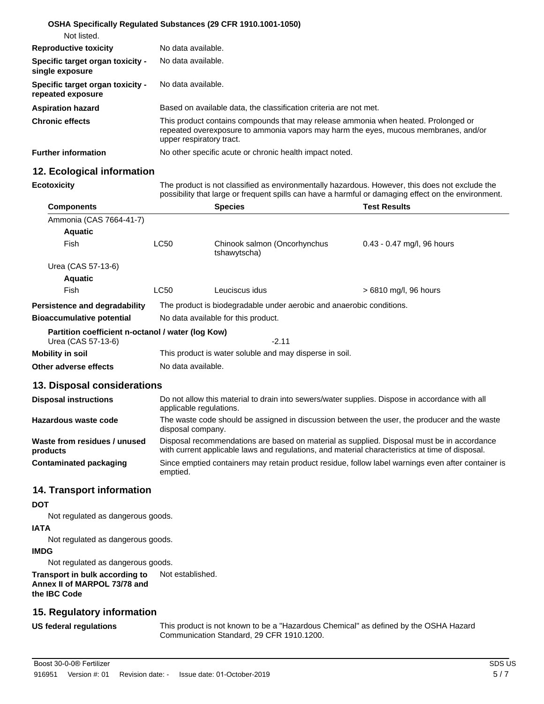|                                                       | <b>OSHA Specifically Requiated Substances (29 CFR 1910.1001-1050)</b>                                                                                                                                 |
|-------------------------------------------------------|-------------------------------------------------------------------------------------------------------------------------------------------------------------------------------------------------------|
| Not listed.                                           |                                                                                                                                                                                                       |
| <b>Reproductive toxicity</b>                          | No data available.                                                                                                                                                                                    |
| Specific target organ toxicity -<br>single exposure   | No data available.                                                                                                                                                                                    |
| Specific target organ toxicity -<br>repeated exposure | No data available.                                                                                                                                                                                    |
| <b>Aspiration hazard</b>                              | Based on available data, the classification criteria are not met.                                                                                                                                     |
| <b>Chronic effects</b>                                | This product contains compounds that may release ammonia when heated. Prolonged or<br>repeated overexposure to ammonia vapors may harm the eyes, mucous membranes, and/or<br>upper respiratory tract. |
| <b>Further information</b>                            | No other specific acute or chronic health impact noted.                                                                                                                                               |

## **12. Ecological information**

**Ecotoxicity** The product is not classified as environmentally hazardous. However, this does not exclude the possibility that large or frequent spills can have a harmful or damaging effect on the environment.

| <b>Components</b>                                                       |                                                                                                                           | <b>Species</b>                               | <b>Test Results</b>          |  |  |  |  |
|-------------------------------------------------------------------------|---------------------------------------------------------------------------------------------------------------------------|----------------------------------------------|------------------------------|--|--|--|--|
| Ammonia (CAS 7664-41-7)                                                 |                                                                                                                           |                                              |                              |  |  |  |  |
| <b>Aquatic</b>                                                          |                                                                                                                           |                                              |                              |  |  |  |  |
| Fish                                                                    | <b>LC50</b>                                                                                                               | Chinook salmon (Oncorhynchus<br>tshawytscha) | $0.43 - 0.47$ mg/l, 96 hours |  |  |  |  |
| Urea (CAS 57-13-6)                                                      |                                                                                                                           |                                              |                              |  |  |  |  |
| <b>Aquatic</b>                                                          |                                                                                                                           |                                              |                              |  |  |  |  |
| Fish                                                                    | <b>LC50</b>                                                                                                               | Leuciscus idus                               | > 6810 mg/l, 96 hours        |  |  |  |  |
| Persistence and degradability                                           | The product is biodegradable under aerobic and anaerobic conditions.                                                      |                                              |                              |  |  |  |  |
| <b>Bioaccumulative potential</b>                                        | No data available for this product.                                                                                       |                                              |                              |  |  |  |  |
| Partition coefficient n-octanol / water (log Kow)<br>Urea (CAS 57-13-6) |                                                                                                                           | $-2.11$                                      |                              |  |  |  |  |
| Mobility in soil                                                        | This product is water soluble and may disperse in soil.                                                                   |                                              |                              |  |  |  |  |
| Other adverse effects                                                   | No data available.                                                                                                        |                                              |                              |  |  |  |  |
| 13. Disposal considerations                                             |                                                                                                                           |                                              |                              |  |  |  |  |
| <b>Disposal instructions</b>                                            | Do not allow this material to drain into sewers/water supplies. Dispose in accordance with all<br>applicable regulations. |                                              |                              |  |  |  |  |
|                                                                         |                                                                                                                           |                                              |                              |  |  |  |  |

| Hazardous waste code                     | The waste code should be assigned in discussion between the user, the producer and the waste<br>disposal company.                                                                             |
|------------------------------------------|-----------------------------------------------------------------------------------------------------------------------------------------------------------------------------------------------|
| Waste from residues / unused<br>products | Disposal recommendations are based on material as supplied. Disposal must be in accordance<br>with current applicable laws and regulations, and material characteristics at time of disposal. |
| Contaminated packaging                   | Since emptied containers may retain product residue, follow label warnings even after container is<br>emptied.                                                                                |

## **14. Transport information**

### **DOT**

Not regulated as dangerous goods.

### **IATA**

Not regulated as dangerous goods.

### **IMDG**

Not regulated as dangerous goods.

### **Transport in bulk according to** Not established. **Annex II of MARPOL 73/78 and the IBC Code**

## **15. Regulatory information**

**US federal regulations** This product is not known to be a "Hazardous Chemical" as defined by the OSHA Hazard Communication Standard, 29 CFR 1910.1200.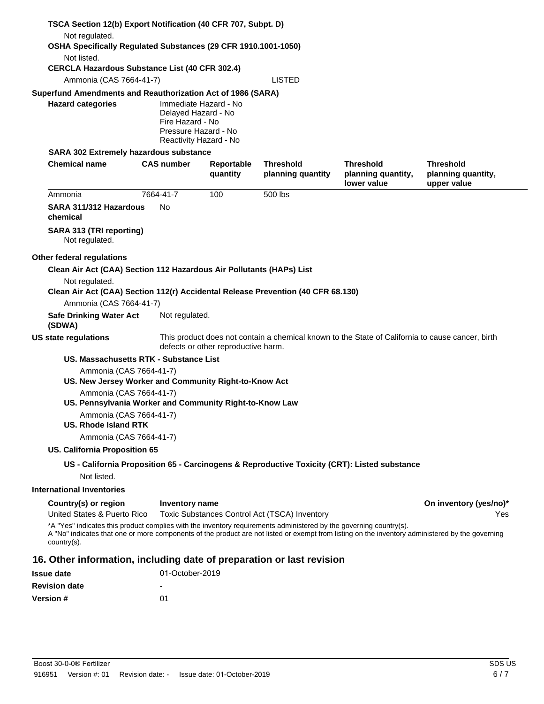| TSCA Section 12(b) Export Notification (40 CFR 707, Subpt. D)                                                                 |                                                                                                                                                                                                                                                                                                                         |                                                                                                                                         |                                       |                                                                                              |                                                       |  |  |
|-------------------------------------------------------------------------------------------------------------------------------|-------------------------------------------------------------------------------------------------------------------------------------------------------------------------------------------------------------------------------------------------------------------------------------------------------------------------|-----------------------------------------------------------------------------------------------------------------------------------------|---------------------------------------|----------------------------------------------------------------------------------------------|-------------------------------------------------------|--|--|
| Not regulated.<br>OSHA Specifically Regulated Substances (29 CFR 1910.1001-1050)                                              |                                                                                                                                                                                                                                                                                                                         |                                                                                                                                         |                                       |                                                                                              |                                                       |  |  |
| Not listed.                                                                                                                   |                                                                                                                                                                                                                                                                                                                         |                                                                                                                                         |                                       |                                                                                              |                                                       |  |  |
| <b>CERCLA Hazardous Substance List (40 CFR 302.4)</b>                                                                         |                                                                                                                                                                                                                                                                                                                         |                                                                                                                                         |                                       |                                                                                              |                                                       |  |  |
|                                                                                                                               | Ammonia (CAS 7664-41-7)                                                                                                                                                                                                                                                                                                 |                                                                                                                                         |                                       |                                                                                              |                                                       |  |  |
| Superfund Amendments and Reauthorization Act of 1986 (SARA)                                                                   |                                                                                                                                                                                                                                                                                                                         |                                                                                                                                         |                                       |                                                                                              |                                                       |  |  |
| <b>Hazard categories</b>                                                                                                      | Immediate Hazard - No<br>Delayed Hazard - No<br>Fire Hazard - No<br>Pressure Hazard - No<br>Reactivity Hazard - No                                                                                                                                                                                                      |                                                                                                                                         |                                       |                                                                                              |                                                       |  |  |
| SARA 302 Extremely hazardous substance                                                                                        |                                                                                                                                                                                                                                                                                                                         |                                                                                                                                         |                                       |                                                                                              |                                                       |  |  |
| <b>Chemical name</b>                                                                                                          | <b>CAS number</b>                                                                                                                                                                                                                                                                                                       | Reportable<br>quantity                                                                                                                  | <b>Threshold</b><br>planning quantity | <b>Threshold</b><br>planning quantity,<br>lower value                                        | <b>Threshold</b><br>planning quantity,<br>upper value |  |  |
| Ammonia                                                                                                                       | 7664-41-7                                                                                                                                                                                                                                                                                                               | 100                                                                                                                                     | 500 lbs                               |                                                                                              |                                                       |  |  |
| SARA 311/312 Hazardous<br>chemical                                                                                            | No                                                                                                                                                                                                                                                                                                                      |                                                                                                                                         |                                       |                                                                                              |                                                       |  |  |
| SARA 313 (TRI reporting)<br>Not regulated.                                                                                    |                                                                                                                                                                                                                                                                                                                         |                                                                                                                                         |                                       |                                                                                              |                                                       |  |  |
| Other federal regulations                                                                                                     |                                                                                                                                                                                                                                                                                                                         |                                                                                                                                         |                                       |                                                                                              |                                                       |  |  |
| Clean Air Act (CAA) Section 112 Hazardous Air Pollutants (HAPs) List                                                          |                                                                                                                                                                                                                                                                                                                         |                                                                                                                                         |                                       |                                                                                              |                                                       |  |  |
| Not regulated.<br>Clean Air Act (CAA) Section 112(r) Accidental Release Prevention (40 CFR 68.130)<br>Ammonia (CAS 7664-41-7) |                                                                                                                                                                                                                                                                                                                         |                                                                                                                                         |                                       |                                                                                              |                                                       |  |  |
| <b>Safe Drinking Water Act</b><br>(SDWA)                                                                                      |                                                                                                                                                                                                                                                                                                                         | Not regulated.                                                                                                                          |                                       |                                                                                              |                                                       |  |  |
| <b>US state regulations</b>                                                                                                   |                                                                                                                                                                                                                                                                                                                         | This product does not contain a chemical known to the State of California to cause cancer, birth<br>defects or other reproductive harm. |                                       |                                                                                              |                                                       |  |  |
| US. Massachusetts RTK - Substance List                                                                                        |                                                                                                                                                                                                                                                                                                                         |                                                                                                                                         |                                       |                                                                                              |                                                       |  |  |
| Ammonia (CAS 7664-41-7)<br>US. New Jersey Worker and Community Right-to-Know Act                                              |                                                                                                                                                                                                                                                                                                                         |                                                                                                                                         |                                       |                                                                                              |                                                       |  |  |
| Ammonia (CAS 7664-41-7)<br>US. Pennsylvania Worker and Community Right-to-Know Law                                            |                                                                                                                                                                                                                                                                                                                         |                                                                                                                                         |                                       |                                                                                              |                                                       |  |  |
| Ammonia (CAS 7664-41-7)<br>US. Rhode Island RTK                                                                               |                                                                                                                                                                                                                                                                                                                         |                                                                                                                                         |                                       |                                                                                              |                                                       |  |  |
| Ammonia (CAS 7664-41-7)                                                                                                       |                                                                                                                                                                                                                                                                                                                         |                                                                                                                                         |                                       |                                                                                              |                                                       |  |  |
| <b>US. California Proposition 65</b>                                                                                          |                                                                                                                                                                                                                                                                                                                         |                                                                                                                                         |                                       |                                                                                              |                                                       |  |  |
|                                                                                                                               |                                                                                                                                                                                                                                                                                                                         |                                                                                                                                         |                                       | US - California Proposition 65 - Carcinogens & Reproductive Toxicity (CRT): Listed substance |                                                       |  |  |
| Not listed.                                                                                                                   |                                                                                                                                                                                                                                                                                                                         |                                                                                                                                         |                                       |                                                                                              |                                                       |  |  |
| <b>International Inventories</b>                                                                                              |                                                                                                                                                                                                                                                                                                                         |                                                                                                                                         |                                       |                                                                                              |                                                       |  |  |
| Country(s) or region<br>United States & Puerto Rico                                                                           | <b>Inventory name</b>                                                                                                                                                                                                                                                                                                   |                                                                                                                                         |                                       |                                                                                              | On inventory (yes/no)*<br>Yes                         |  |  |
| country(s).                                                                                                                   | Toxic Substances Control Act (TSCA) Inventory<br>*A "Yes" indicates this product complies with the inventory requirements administered by the governing country(s).<br>A "No" indicates that one or more components of the product are not listed or exempt from listing on the inventory administered by the governing |                                                                                                                                         |                                       |                                                                                              |                                                       |  |  |
| 16. Other information, including date of preparation or last revision                                                         |                                                                                                                                                                                                                                                                                                                         |                                                                                                                                         |                                       |                                                                                              |                                                       |  |  |
| <b>Issue date</b>                                                                                                             | 01-October-2019                                                                                                                                                                                                                                                                                                         |                                                                                                                                         |                                       |                                                                                              |                                                       |  |  |
| <b>Revision date</b>                                                                                                          |                                                                                                                                                                                                                                                                                                                         |                                                                                                                                         |                                       |                                                                                              |                                                       |  |  |
| <b>Version</b> #                                                                                                              | 01                                                                                                                                                                                                                                                                                                                      |                                                                                                                                         |                                       |                                                                                              |                                                       |  |  |
|                                                                                                                               |                                                                                                                                                                                                                                                                                                                         |                                                                                                                                         |                                       |                                                                                              |                                                       |  |  |